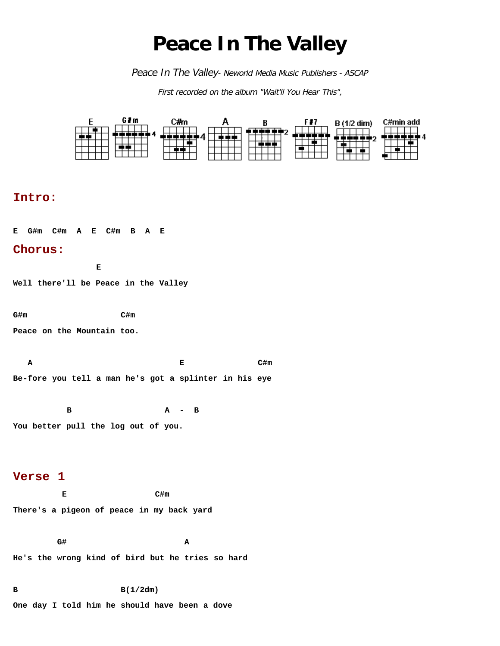# **Peace In The Valley**

Peace In The Valley- Neworld Media Music Publishers - ASCAP

First recorded on the album "Wait'll You Hear This",



**One day I told him he should have been a dove**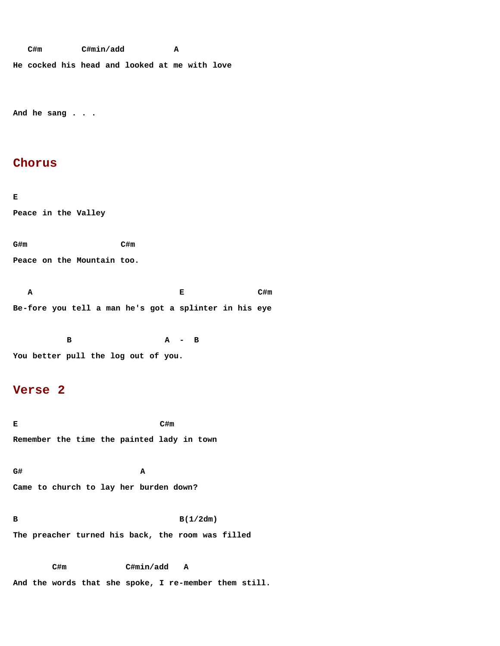**C#m C#min/add A**

**He cocked his head and looked at me with love**

**And he sang . . .**

## **Chorus**

**E Peace in the Valley**

**G#m C#m**

**Peace on the Mountain too.**

**A** C#m **Be-fore you tell a man he's got a splinter in his eye**

 **B A - B You better pull the log out of you.**

## **Verse 2**

**E C#m Remember the time the painted lady in town**

**G# A Came to church to lay her burden down?**

**B B(1/2dm) The preacher turned his back, the room was filled**

 **C#m C#min/add A And the words that she spoke, I re-member them still.**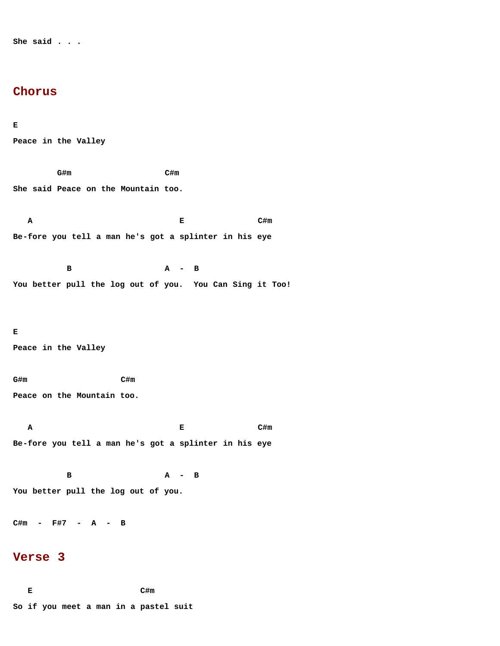**She said . . .**

### **Chorus**

#### **E**

**Peace in the Valley**

 **G#m C#m She said Peace on the Mountain too. A** C#m **Be-fore you tell a man he's got a splinter in his eye B A - B You better pull the log out of you. You Can Sing it Too! E Peace in the Valley G#m C#m Peace on the Mountain too. A** C#m **Be-fore you tell a man he's got a splinter in his eye B A - B You better pull the log out of you. C#m - F#7 - A - B Verse 3**

**E** C#m **So if you meet a man in a pastel suit**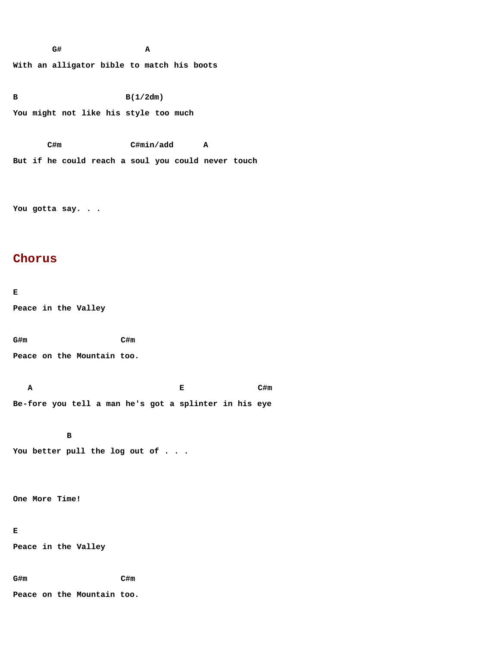**G# A With an alligator bible to match his boots**

**B B(1/2dm) You might not like his style too much**

 **C#m C#min/add A But if he could reach a soul you could never touch**

**You gotta say. . .**

## **Chorus**

**E Peace in the Valley**

**G#m C#m**

**Peace on the Mountain too.**

**A** C#m **Be-fore you tell a man he's got a splinter in his eye**

 **B You better pull the log out of . . .**

**One More Time!**

#### **E**

**Peace in the Valley**

**G#m C#m**

**Peace on the Mountain too.**